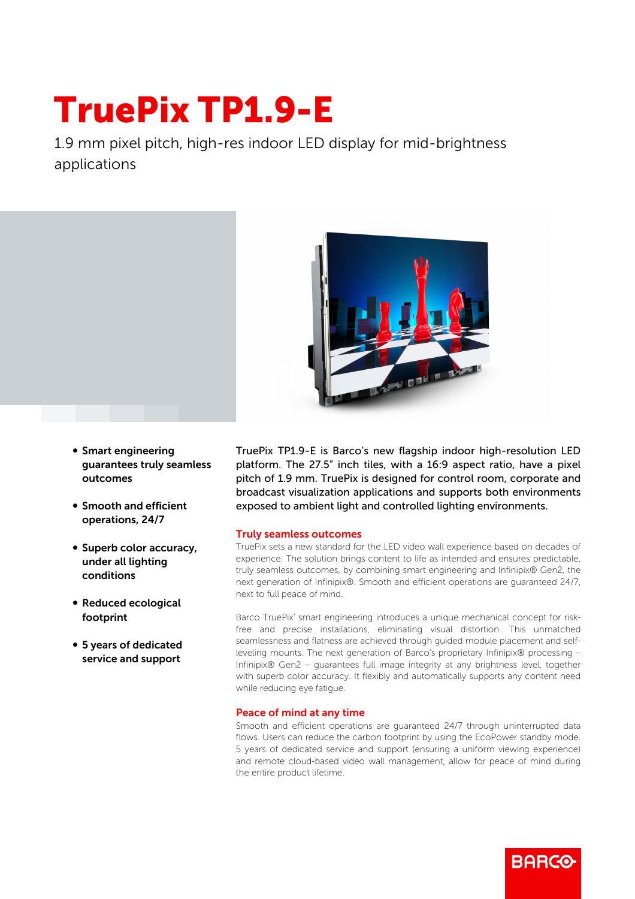## TruePix TP1.9-E

1.9 mm pixel pitch, high-res indoor LED display for mid-brightness applications



- **Smart engineering** guarantees truly seamless outcomes
- Smooth and efficient operations, 24/7
- Superb color accuracy, under all lighting conditions
- Reduced ecological footprint
- 5 years of dedicated service and support

TruePix TP1.9-E is Barco's new flagship indoor high-resolution LED platform. The 27.5" inch tiles, with a 16:9 aspect ratio, have a pixel pitch of 1.9 mm. TruePix is designed for control room, corporate and broadcast visualization applications and supports both environments exposed to ambient light and controlled lighting environments.

## Truly seamless outcomes

TruePix sets a new standard for the LED video wall experience based on decades of experience. The solution brings content to life as intended and ensures predictable, truly seamless outcomes, by combining smart engineering and Infinipix® Gen2, the next generation of Infinipix®. Smooth and efficient operations are guaranteed 24/7, next to full peace of mind.

Barco TruePix' smart engineering introduces a unique mechanical concept for riskfree and precise installations, eliminating visual distortion. This unmatched seamlessness and flatness are achieved through guided module placement and selfleveling mounts. The next generation of Barco's proprietary Infinipix® processing – Infinipix® Gen2 – guarantees full image integrity at any brightness level, together with superb color accuracy. It flexibly and automatically supports any content need while reducing eye fatigue.

## Peace of mind at any time

Smooth and efficient operations are guaranteed 24/7 through uninterrupted data flows. Users can reduce the carbon footprint by using the EcoPower standby mode. 5 years of dedicated service and support (ensuring a uniform viewing experience) and remote cloud-based video wall management, allow for peace of mind during the entire product lifetime.